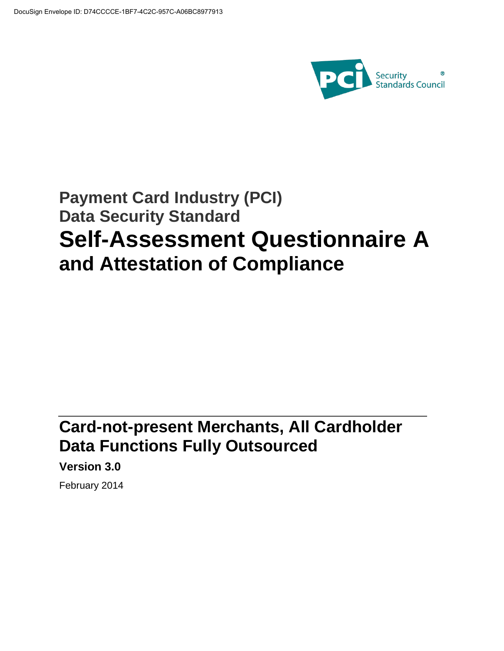

# **Payment Card Industry (PCI) Data Security Standard Self-Assessment Questionnaire A and Attestation of Compliance**

# **Card-not-present Merchants, All Cardholder Data Functions Fully Outsourced**

**Version 3.0** 

February 2014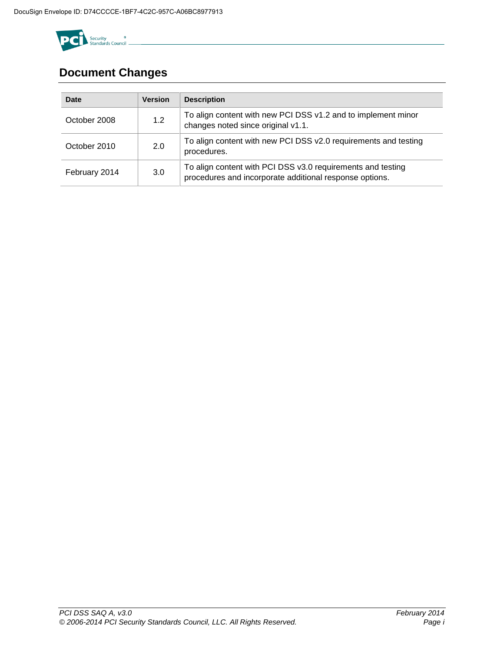

# **Document Changes**

| <b>Date</b>   | <b>Version</b> | <b>Description</b>                                                                                                     |
|---------------|----------------|------------------------------------------------------------------------------------------------------------------------|
| October 2008  | 1.2            | To align content with new PCI DSS v1.2 and to implement minor<br>changes noted since original v1.1.                    |
| October 2010  | 2.0            | To align content with new PCI DSS v2.0 requirements and testing<br>procedures.                                         |
| February 2014 | 3.0            | To align content with PCI DSS v3.0 requirements and testing<br>procedures and incorporate additional response options. |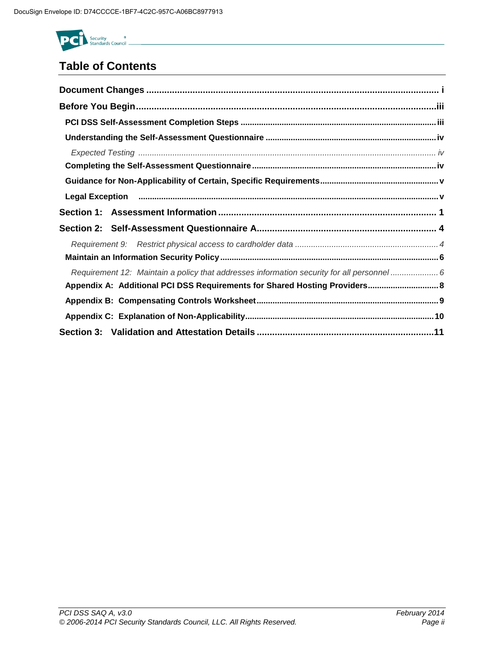

# **Table of Contents**

| Legal Exception <b>construent contract and all algorithms</b> of the contract of the contract of the contract of the c |
|------------------------------------------------------------------------------------------------------------------------|
|                                                                                                                        |
|                                                                                                                        |
|                                                                                                                        |
|                                                                                                                        |
| Requirement 12: Maintain a policy that addresses information security for all personnel 6                              |
| Appendix A: Additional PCI DSS Requirements for Shared Hosting Providers 8                                             |
|                                                                                                                        |
|                                                                                                                        |
|                                                                                                                        |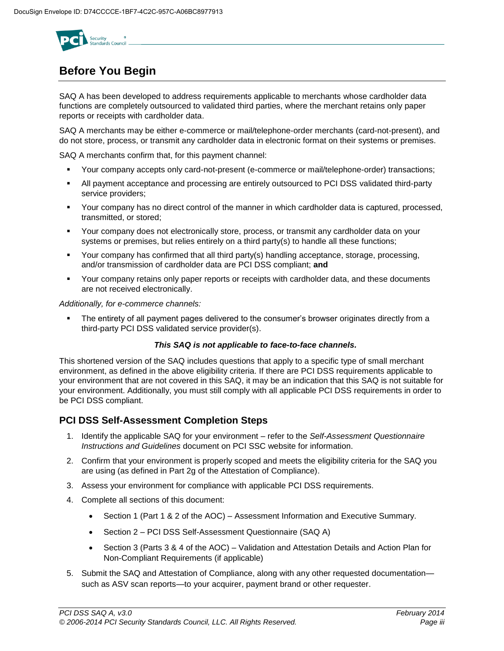

# **Before You Begin**

SAQ A has been developed to address requirements applicable to merchants whose cardholder data functions are completely outsourced to validated third parties, where the merchant retains only paper reports or receipts with cardholder data.

SAQ A merchants may be either e-commerce or mail/telephone-order merchants (card-not-present), and do not store, process, or transmit any cardholder data in electronic format on their systems or premises.

SAQ A merchants confirm that, for this payment channel:

- Your company accepts only card-not-present (e-commerce or mail/telephone-order) transactions;
- All payment acceptance and processing are entirely outsourced to PCI DSS validated third-party service providers;
- Your company has no direct control of the manner in which cardholder data is captured, processed, transmitted, or stored;
- Your company does not electronically store, process, or transmit any cardholder data on your systems or premises, but relies entirely on a third party(s) to handle all these functions;
- Your company has confirmed that all third party(s) handling acceptance, storage, processing, and/or transmission of cardholder data are PCI DSS compliant; **and**
- Your company retains only paper reports or receipts with cardholder data, and these documents are not received electronically.

*Additionally, for e-commerce channels:* 

 The entirety of all payment pages delivered to the consumer's browser originates directly from a third-party PCI DSS validated service provider(s).

#### *This SAQ is not applicable to face-to-face channels.*

This shortened version of the SAQ includes questions that apply to a specific type of small merchant environment, as defined in the above eligibility criteria. If there are PCI DSS requirements applicable to your environment that are not covered in this SAQ, it may be an indication that this SAQ is not suitable for your environment. Additionally, you must still comply with all applicable PCI DSS requirements in order to be PCI DSS compliant.

#### **PCI DSS Self-Assessment Completion Steps**

- 1. Identify the applicable SAQ for your environment refer to the *Self-Assessment Questionnaire Instructions and Guidelines* document on PCI SSC website for information.
- 2. Confirm that your environment is properly scoped and meets the eligibility criteria for the SAQ you are using (as defined in Part 2g of the Attestation of Compliance).
- 3. Assess your environment for compliance with applicable PCI DSS requirements.
- 4. Complete all sections of this document:
	- Section 1 (Part 1 & 2 of the AOC) Assessment Information and Executive Summary.
	- Section 2 PCI DSS Self-Assessment Questionnaire (SAQ A)
	- Section 3 (Parts 3 & 4 of the AOC) Validation and Attestation Details and Action Plan for Non-Compliant Requirements (if applicable)
- 5. Submit the SAQ and Attestation of Compliance, along with any other requested documentation such as ASV scan reports—to your acquirer, payment brand or other requester.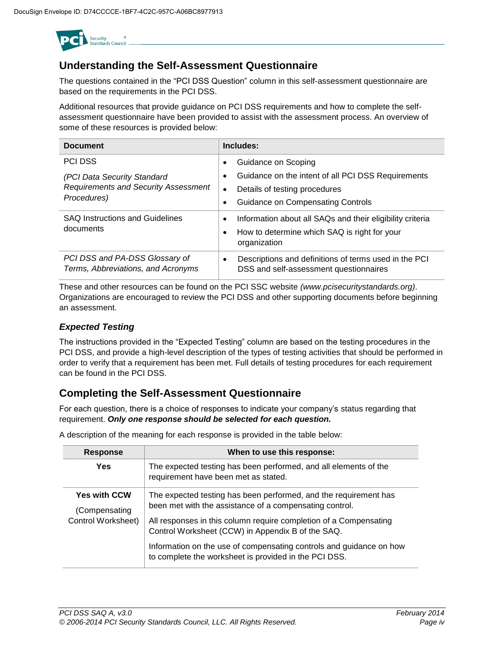

### **Understanding the Self-Assessment Questionnaire**

The questions contained in the "PCI DSS Question" column in this self-assessment questionnaire are based on the requirements in the PCI DSS.

Additional resources that provide guidance on PCI DSS requirements and how to complete the selfassessment questionnaire have been provided to assist with the assessment process. An overview of some of these resources is provided below:

| <b>Document</b>                                                      | Includes:                                                                                                    |
|----------------------------------------------------------------------|--------------------------------------------------------------------------------------------------------------|
| <b>PCI DSS</b>                                                       | Guidance on Scoping<br>٠                                                                                     |
| (PCI Data Security Standard                                          | Guidance on the intent of all PCI DSS Requirements<br>$\bullet$                                              |
| <b>Requirements and Security Assessment</b>                          | Details of testing procedures<br>$\bullet$                                                                   |
| Procedures)                                                          | <b>Guidance on Compensating Controls</b><br>٠                                                                |
| <b>SAQ Instructions and Guidelines</b>                               | Information about all SAQs and their eligibility criteria<br>$\bullet$                                       |
| documents                                                            | How to determine which SAQ is right for your<br>$\bullet$<br>organization                                    |
| PCI DSS and PA-DSS Glossary of<br>Terms, Abbreviations, and Acronyms | Descriptions and definitions of terms used in the PCI<br>$\bullet$<br>DSS and self-assessment questionnaires |

These and other resources can be found on the PCI SSC website *[\(www.pcisecuritystandards.org\)](http://www.pcisecuritystandards.org/)*. Organizations are encouraged to review the PCI DSS and other supporting documents before beginning an assessment.

### *Expected Testing*

The instructions provided in the "Expected Testing" column are based on the testing procedures in the PCI DSS, and provide a high-level description of the types of testing activities that should be performed in order to verify that a requirement has been met. Full details of testing procedures for each requirement can be found in the PCI DSS.

### **Completing the Self-Assessment Questionnaire**

For each question, there is a choice of responses to indicate your company's status regarding that requirement. *Only one response should be selected for each question.*

| <b>Response</b>                      | When to use this response:                                                                                                   |
|--------------------------------------|------------------------------------------------------------------------------------------------------------------------------|
| Yes                                  | The expected testing has been performed, and all elements of the<br>requirement have been met as stated.                     |
| <b>Yes with CCW</b><br>(Compensating | The expected testing has been performed, and the requirement has<br>been met with the assistance of a compensating control.  |
| Control Worksheet)                   | All responses in this column require completion of a Compensating<br>Control Worksheet (CCW) in Appendix B of the SAQ.       |
|                                      | Information on the use of compensating controls and guidance on how<br>to complete the worksheet is provided in the PCI DSS. |

A description of the meaning for each response is provided in the table below: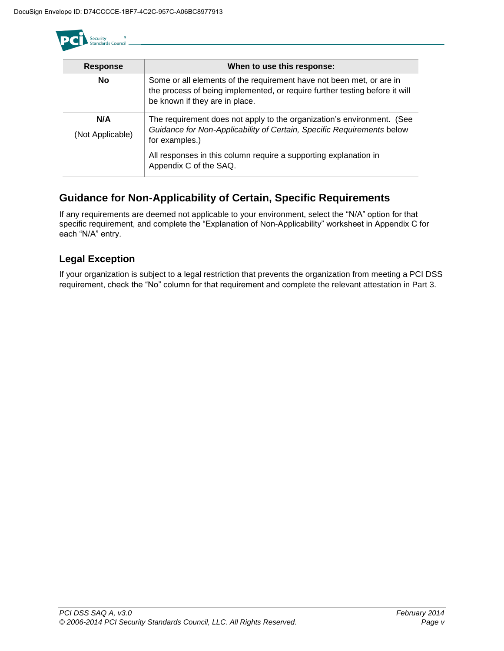

| <b>Response</b>         | When to use this response:                                                                                                                                                            |
|-------------------------|---------------------------------------------------------------------------------------------------------------------------------------------------------------------------------------|
| <b>No</b>               | Some or all elements of the requirement have not been met, or are in<br>the process of being implemented, or require further testing before it will<br>be known if they are in place. |
| N/A<br>(Not Applicable) | The requirement does not apply to the organization's environment. (See<br>Guidance for Non-Applicability of Certain, Specific Requirements below<br>for examples.)                    |
|                         | All responses in this column require a supporting explanation in<br>Appendix C of the SAQ.                                                                                            |

## **Guidance for Non-Applicability of Certain, Specific Requirements**

If any requirements are deemed not applicable to your environment, select the "N/A" option for that specific requirement, and complete the "Explanation of Non-Applicability" worksheet in Appendix C for each "N/A" entry.

### **Legal Exception**

If your organization is subject to a legal restriction that prevents the organization from meeting a PCI DSS requirement, check the "No" column for that requirement and complete the relevant attestation in Part 3.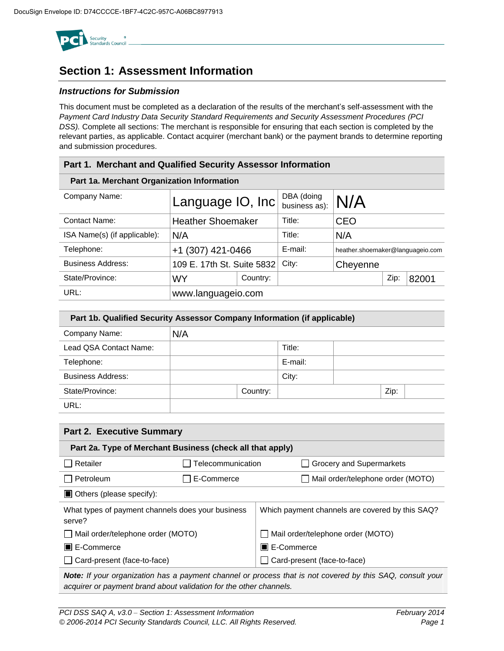

# **Section 1: Assessment Information**

#### *Instructions for Submission*

This document must be completed as a declaration of the results of the merchant's self-assessment with the *Payment Card Industry Data Security Standard Requirements and Security Assessment Procedures (PCI DSS).* Complete all sections: The merchant is responsible for ensuring that each section is completed by the relevant parties, as applicable. Contact acquirer (merchant bank) or the payment brands to determine reporting and submission procedures.

| Part 1. Merchant and Qualified Security Assessor Information |                            |          |                             |                                  |      |       |  |
|--------------------------------------------------------------|----------------------------|----------|-----------------------------|----------------------------------|------|-------|--|
| Part 1a. Merchant Organization Information                   |                            |          |                             |                                  |      |       |  |
| Company Name:                                                | Language $ O, Inc $        |          | DBA (doing<br>business as): | N/A                              |      |       |  |
| <b>Contact Name:</b>                                         | <b>Heather Shoemaker</b>   |          | Title:                      | <b>CEO</b>                       |      |       |  |
| ISA Name(s) (if applicable):                                 | N/A                        |          | Title:                      | N/A                              |      |       |  |
| Telephone:                                                   | +1 (307) 421-0466          |          | E-mail:                     | heather.shoemaker@languageio.com |      |       |  |
| <b>Business Address:</b>                                     | 109 E. 17th St. Suite 5832 |          | City:                       | Cheyenne                         |      |       |  |
| State/Province:                                              | WY                         | Country: |                             |                                  | Zip: | 82001 |  |
| URL:                                                         | www.languageio.com         |          |                             |                                  |      |       |  |

| Part 1b. Qualified Security Assessor Company Information (if applicable) |     |          |         |  |      |  |
|--------------------------------------------------------------------------|-----|----------|---------|--|------|--|
| Company Name:                                                            | N/A |          |         |  |      |  |
| Lead QSA Contact Name:                                                   |     |          | Title:  |  |      |  |
| Telephone:                                                               |     |          | E-mail: |  |      |  |
| <b>Business Address:</b>                                                 |     |          | City:   |  |      |  |
| State/Province:                                                          |     | Country: |         |  | Zip: |  |
| URL:                                                                     |     |          |         |  |      |  |

| <b>Part 2. Executive Summary</b>                            |                   |                                                 |  |  |  |
|-------------------------------------------------------------|-------------------|-------------------------------------------------|--|--|--|
| Part 2a. Type of Merchant Business (check all that apply)   |                   |                                                 |  |  |  |
| Retailer                                                    | Telecommunication | $\Box$ Grocery and Supermarkets                 |  |  |  |
| Petroleum                                                   | E-Commerce        | Mail order/telephone order (MOTO)               |  |  |  |
| $\Box$ Others (please specify):                             |                   |                                                 |  |  |  |
| What types of payment channels does your business<br>serve? |                   | Which payment channels are covered by this SAQ? |  |  |  |
| Mail order/telephone order (MOTO)                           |                   | Mail order/telephone order (MOTO)               |  |  |  |
| <b>■ E-Commerce</b>                                         |                   | <b>■ E-Commerce</b>                             |  |  |  |
| Card-present (face-to-face)                                 |                   | □ Card-present (face-to-face)                   |  |  |  |

*Note: If your organization has a payment channel or process that is not covered by this SAQ, consult your acquirer or payment brand about validation for the other channels.*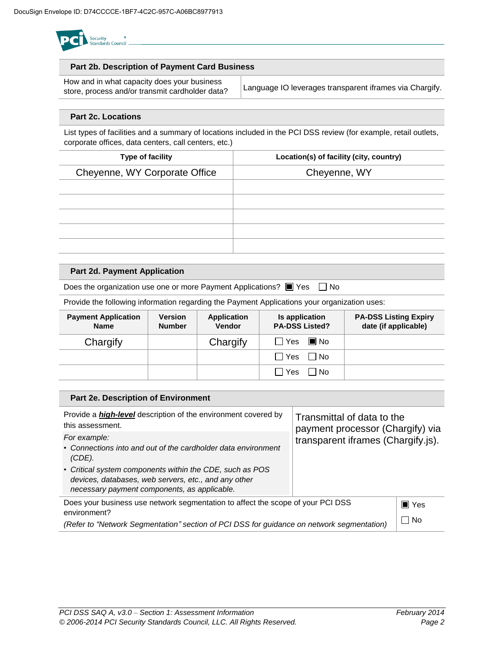

#### **Part 2b. Description of Payment Card Business**

| How and in what capacity does your business     |                                                         |
|-------------------------------------------------|---------------------------------------------------------|
| store, process and/or transmit cardholder data? | Language IO leverages transparent iframes via Chargify. |

#### **Part 2c. Locations**

List types of facilities and a summary of locations included in the PCI DSS review (for example, retail outlets, corporate offices, data centers, call centers, etc.)

| Type of facility              | Location(s) of facility (city, country) |
|-------------------------------|-----------------------------------------|
| Cheyenne, WY Corporate Office | Cheyenne, WY                            |
|                               |                                         |
|                               |                                         |
|                               |                                         |
|                               |                                         |
|                               |                                         |
|                               |                                         |

#### **Part 2d. Payment Application**

Does the organization use one or more Payment Applications?  $\blacksquare$  Yes  $\Box$  No

Provide the following information regarding the Payment Applications your organization uses:

| <b>Payment Application</b><br><b>Name</b> | <b>Version</b><br><b>Number</b> | <b>Application</b><br><b>Vendor</b> | Is application<br><b>PA-DSS Listed?</b> | <b>PA-DSS Listing Expiry</b><br>date (if applicable) |
|-------------------------------------------|---------------------------------|-------------------------------------|-----------------------------------------|------------------------------------------------------|
| Chargify                                  |                                 | Chargify                            | $\blacksquare$ No<br>l Yes I            |                                                      |
|                                           |                                 |                                     | $\Box$ Yes $\Box$ No                    |                                                      |
|                                           |                                 |                                     | l IYes<br>l INo                         |                                                      |

| Part 2e. Description of Environment                                                                                                                                                                                                                         |                                                                                                      |       |
|-------------------------------------------------------------------------------------------------------------------------------------------------------------------------------------------------------------------------------------------------------------|------------------------------------------------------------------------------------------------------|-------|
| Provide a <i>high-level</i> description of the environment covered by<br>this assessment.                                                                                                                                                                   | Transmittal of data to the<br>payment processor (Chargify) via<br>transparent iframes (Chargify.js). |       |
| For example:<br>• Connections into and out of the cardholder data environment<br>(CDE).<br>• Critical system components within the CDE, such as POS<br>devices, databases, web servers, etc., and any other<br>necessary payment components, as applicable. |                                                                                                      |       |
| Does your business use network segmentation to affect the scope of your PCI DSS<br>environment?                                                                                                                                                             |                                                                                                      | ∎ Yes |
| (Refer to "Network Segmentation" section of PCI DSS for guidance on network segmentation)                                                                                                                                                                   |                                                                                                      | □ No  |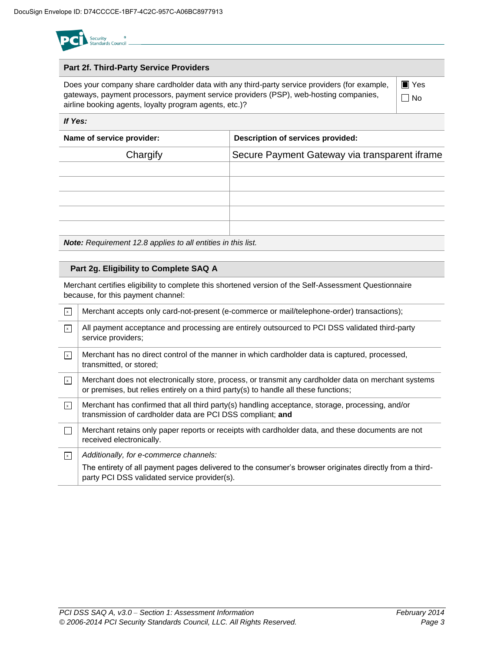

#### **Part 2f. Third-Party Service Providers**

Does your company share cardholder data with any third-party service providers (for example, gateways, payment processors, payment service providers (PSP), web-hosting companies, airline booking agents, loyalty program agents, etc.)?

■ Yes No

#### *If Yes:*

| Name of service provider: | Description of services provided:             |  |  |
|---------------------------|-----------------------------------------------|--|--|
| Chargify                  | Secure Payment Gateway via transparent iframe |  |  |
|                           |                                               |  |  |
|                           |                                               |  |  |
|                           |                                               |  |  |
|                           |                                               |  |  |
|                           |                                               |  |  |

*Note: Requirement 12.8 applies to all entities in this list.*

#### **Part 2g. Eligibility to Complete SAQ A**

Merchant certifies eligibility to complete this shortened version of the Self-Assessment Questionnaire because, for this payment channel:

| $\vert x \vert$ | Merchant accepts only card-not-present (e-commerce or mail/telephone-order) transactions);                                                                                                        |
|-----------------|---------------------------------------------------------------------------------------------------------------------------------------------------------------------------------------------------|
| $\mathbf{x}$    | All payment acceptance and processing are entirely outsourced to PCI DSS validated third-party<br>service providers;                                                                              |
| $\vert x \vert$ | Merchant has no direct control of the manner in which cardholder data is captured, processed,<br>transmitted, or stored;                                                                          |
| $\mathbf{x}$    | Merchant does not electronically store, process, or transmit any cardholder data on merchant systems<br>or premises, but relies entirely on a third party(s) to handle all these functions;       |
| $\sqrt{x}$      | Merchant has confirmed that all third party(s) handling acceptance, storage, processing, and/or<br>transmission of cardholder data are PCI DSS compliant; and                                     |
|                 | Merchant retains only paper reports or receipts with cardholder data, and these documents are not<br>received electronically.                                                                     |
| $\mathbf{x}$    | Additionally, for e-commerce channels:<br>The entirety of all payment pages delivered to the consumer's browser originates directly from a third-<br>party PCI DSS validated service provider(s). |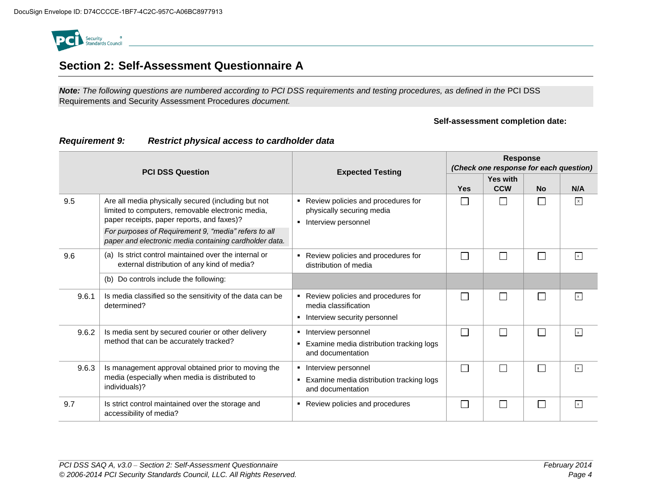

# **Section 2: Self-Assessment Questionnaire A**

*Note: The following questions are numbered according to PCI DSS requirements and testing procedures, as defined in the* PCI DSS Requirements and Security Assessment Procedures *document.* 

#### **Self-assessment completion date:**

| <b>PCI DSS Question</b>                                                                                                                                            |                                                                                                                        | <b>Expected Testing</b>                                                                              | <b>Response</b><br>(Check one response for each question) |                             |              |              |
|--------------------------------------------------------------------------------------------------------------------------------------------------------------------|------------------------------------------------------------------------------------------------------------------------|------------------------------------------------------------------------------------------------------|-----------------------------------------------------------|-----------------------------|--------------|--------------|
|                                                                                                                                                                    |                                                                                                                        |                                                                                                      | <b>Yes</b>                                                | Yes with<br><b>CCW</b>      | <b>No</b>    | N/A          |
| 9.5<br>Are all media physically secured (including but not<br>٠<br>limited to computers, removable electronic media,<br>paper receipts, paper reports, and faxes)? |                                                                                                                        | Review policies and procedures for<br>physically securing media<br>Interview personnel               |                                                           | $\mathbb{R}^n$              |              | $\mathsf{X}$ |
|                                                                                                                                                                    | For purposes of Requirement 9, "media" refers to all<br>paper and electronic media containing cardholder data.         |                                                                                                      |                                                           |                             |              |              |
| 9.6                                                                                                                                                                | (a) Is strict control maintained over the internal or<br>external distribution of any kind of media?                   | Review policies and procedures for<br>٠<br>distribution of media                                     | П                                                         |                             |              | $\mathbf{x}$ |
|                                                                                                                                                                    | (b) Do controls include the following:                                                                                 |                                                                                                      |                                                           |                             |              |              |
| 9.6.1                                                                                                                                                              | Is media classified so the sensitivity of the data can be<br>determined?                                               | Review policies and procedures for<br>٠<br>media classification<br>Interview security personnel<br>٠ | $\Box$                                                    | $\mathbb{R}^n$              | $\mathbf{L}$ | $\mathbf{x}$ |
| 9.6.2                                                                                                                                                              | Is media sent by secured courier or other delivery<br>method that can be accurately tracked?                           | Interview personnel<br>٠<br>Examine media distribution tracking logs<br>٠<br>and documentation       | П                                                         | $\Box$                      | $\Box$       | $\mathbf x$  |
| 9.6.3                                                                                                                                                              | Is management approval obtained prior to moving the<br>media (especially when media is distributed to<br>individuals)? | Interview personnel<br>٠<br>Examine media distribution tracking logs<br>٠<br>and documentation       | П                                                         |                             | $\Box$       | $\mathbf x$  |
| 9.7                                                                                                                                                                | Is strict control maintained over the storage and<br>accessibility of media?                                           | Review policies and procedures<br>٠                                                                  | $\Box$                                                    | $\mathcal{L}_{\mathcal{A}}$ | П            | $\mathbf{x}$ |

#### *Requirement 9: Restrict physical access to cardholder data*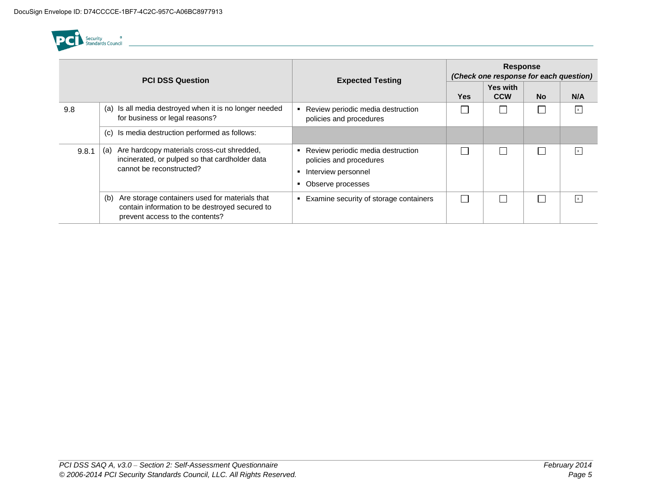

| <b>PCI DSS Question</b>                                                                                                                  |                                                                                                                                            | <b>Expected Testing</b>                                                                                  | <b>Response</b><br>(Check one response for each question) |                               |           |                           |
|------------------------------------------------------------------------------------------------------------------------------------------|--------------------------------------------------------------------------------------------------------------------------------------------|----------------------------------------------------------------------------------------------------------|-----------------------------------------------------------|-------------------------------|-----------|---------------------------|
|                                                                                                                                          |                                                                                                                                            |                                                                                                          | <b>Yes</b>                                                | <b>Yes with</b><br><b>CCW</b> | <b>No</b> | N/A                       |
| 9.8                                                                                                                                      | (a) Is all media destroyed when it is no longer needed<br>for business or legal reasons?                                                   | Review periodic media destruction<br>policies and procedures                                             |                                                           |                               |           | $\boldsymbol{\mathsf{x}}$ |
|                                                                                                                                          | Is media destruction performed as follows:<br>(c)                                                                                          |                                                                                                          |                                                           |                               |           |                           |
| Are hardcopy materials cross-cut shredded,<br>(a)<br>9.8.1<br>incinerated, or pulped so that cardholder data<br>cannot be reconstructed? |                                                                                                                                            | Review periodic media destruction<br>policies and procedures<br>Interview personnel<br>Observe processes |                                                           |                               |           | $\mathbf{x}$              |
|                                                                                                                                          | Are storage containers used for materials that<br>(b)<br>contain information to be destroyed secured to<br>prevent access to the contents? | Examine security of storage containers                                                                   |                                                           |                               |           | $\boldsymbol{\mathsf{x}}$ |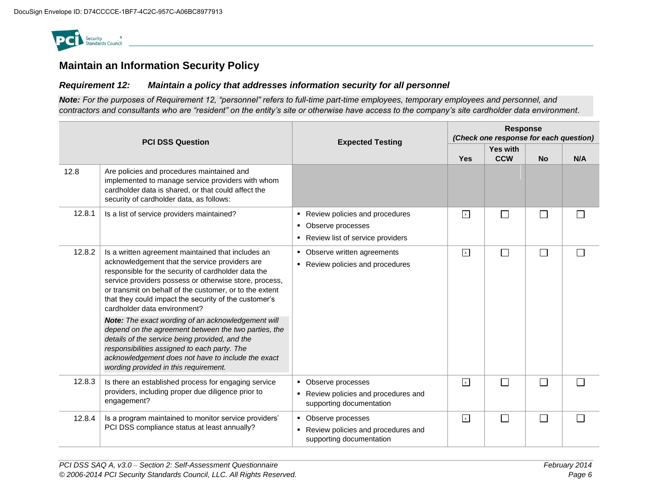

### **Maintain an Information Security Policy**

#### *Requirement 12: Maintain a policy that addresses information security for all personnel*

*Note: For the purposes of Requirement 12, "personnel" refers to full-time part-time employees, temporary employees and personnel, and contractors and consultants who are "resident" on the entity's site or otherwise have access to the company's site cardholder data environment.*

| <b>PCI DSS Question</b> |                                                                                                                                                                                                                                                                                                                                                                           | <b>Expected Testing</b>                                                                       | <b>Response</b><br>(Check one response for each question) |                        |           |     |
|-------------------------|---------------------------------------------------------------------------------------------------------------------------------------------------------------------------------------------------------------------------------------------------------------------------------------------------------------------------------------------------------------------------|-----------------------------------------------------------------------------------------------|-----------------------------------------------------------|------------------------|-----------|-----|
|                         |                                                                                                                                                                                                                                                                                                                                                                           |                                                                                               | Yes                                                       | Yes with<br><b>CCW</b> | <b>No</b> | N/A |
| 12.8                    | Are policies and procedures maintained and<br>implemented to manage service providers with whom<br>cardholder data is shared, or that could affect the<br>security of cardholder data, as follows:                                                                                                                                                                        |                                                                                               |                                                           |                        |           |     |
| 12.8.1                  | Is a list of service providers maintained?                                                                                                                                                                                                                                                                                                                                | • Review policies and procedures<br>• Observe processes<br>■ Review list of service providers | $\sqrt{x}$                                                | $\Box$                 |           |     |
| 12.8.2                  | Is a written agreement maintained that includes an<br>acknowledgement that the service providers are<br>responsible for the security of cardholder data the<br>service providers possess or otherwise store, process,<br>or transmit on behalf of the customer, or to the extent<br>that they could impact the security of the customer's<br>cardholder data environment? | • Observe written agreements<br>Review policies and procedures                                |                                                           | $\Box$                 | Г         |     |
|                         | Note: The exact wording of an acknowledgement will<br>depend on the agreement between the two parties, the<br>details of the service being provided, and the<br>responsibilities assigned to each party. The<br>acknowledgement does not have to include the exact<br>wording provided in this requirement.                                                               |                                                                                               |                                                           |                        |           |     |
| 12.8.3                  | Is there an established process for engaging service<br>providers, including proper due diligence prior to<br>engagement?                                                                                                                                                                                                                                                 | • Observe processes<br>• Review policies and procedures and<br>supporting documentation       | $\mathbf{x}$                                              | $\Box$                 |           |     |
| 12.8.4                  | Is a program maintained to monitor service providers'<br>PCI DSS compliance status at least annually?                                                                                                                                                                                                                                                                     | • Observe processes<br>• Review policies and procedures and<br>supporting documentation       | $\sqrt{x}$                                                | $\Box$                 | Г         |     |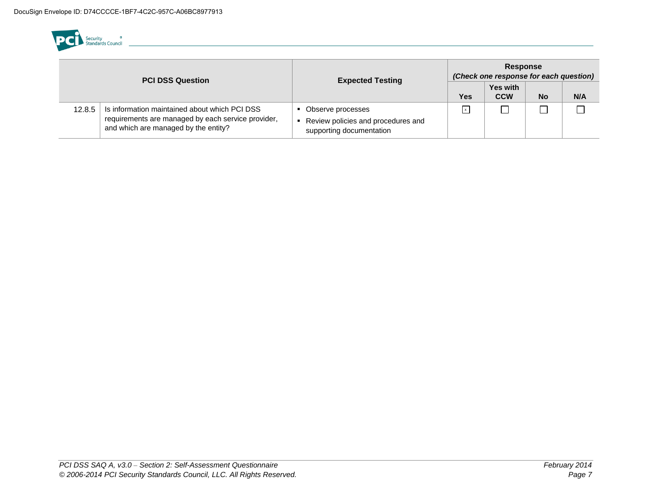

| <b>PCI DSS Question</b> |                                                                                                                                             | <b>Expected Testing</b>                                                             | <b>Response</b><br>(Check one response for each question) |                               |           |     |
|-------------------------|---------------------------------------------------------------------------------------------------------------------------------------------|-------------------------------------------------------------------------------------|-----------------------------------------------------------|-------------------------------|-----------|-----|
|                         |                                                                                                                                             |                                                                                     | Yes                                                       | <b>Yes with</b><br><b>CCW</b> | <b>No</b> | N/A |
| 12.8.5                  | Is information maintained about which PCI DSS<br>requirements are managed by each service provider,<br>and which are managed by the entity? | Observe processes<br>Review policies and procedures and<br>supporting documentation | $\mathsf{x}$                                              |                               |           |     |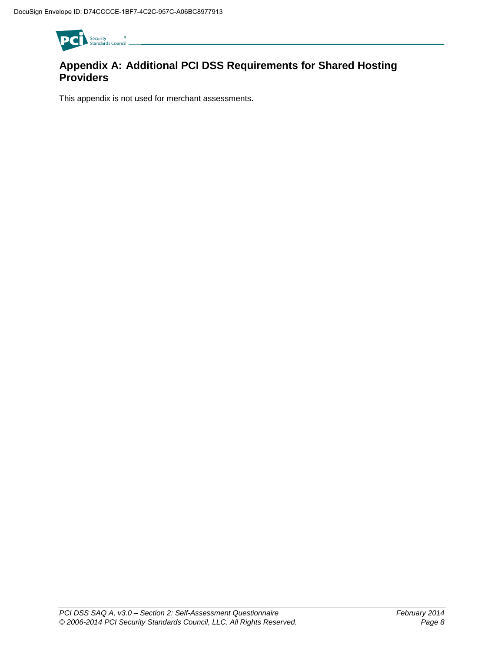

## **Appendix A: Additional PCI DSS Requirements for Shared Hosting Providers**

This appendix is not used for merchant assessments.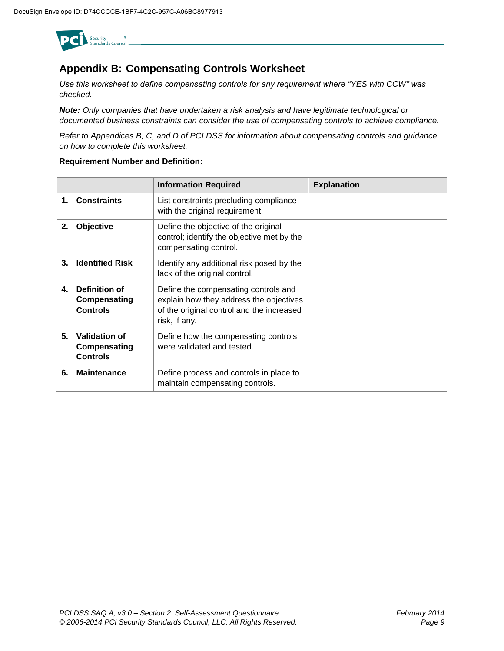

### **Appendix B: Compensating Controls Worksheet**

*Use this worksheet to define compensating controls for any requirement where "YES with CCW" was checked.* 

*Note: Only companies that have undertaken a risk analysis and have legitimate technological or documented business constraints can consider the use of compensating controls to achieve compliance.* 

*Refer to Appendices B, C, and D of PCI DSS for information about compensating controls and guidance on how to complete this worksheet.* 

#### **Requirement Number and Definition:**

|    |                                                  | <b>Information Required</b>                                                                                                                   | <b>Explanation</b> |
|----|--------------------------------------------------|-----------------------------------------------------------------------------------------------------------------------------------------------|--------------------|
| 1. | <b>Constraints</b>                               | List constraints precluding compliance<br>with the original requirement.                                                                      |                    |
| 2. | Objective                                        | Define the objective of the original<br>control; identify the objective met by the<br>compensating control.                                   |                    |
| 3. | <b>Identified Risk</b>                           | Identify any additional risk posed by the<br>lack of the original control.                                                                    |                    |
| 4. | Definition of<br>Compensating<br><b>Controls</b> | Define the compensating controls and<br>explain how they address the objectives<br>of the original control and the increased<br>risk, if any. |                    |
| 5. | Validation of<br>Compensating<br><b>Controls</b> | Define how the compensating controls<br>were validated and tested.                                                                            |                    |
| 6. | <b>Maintenance</b>                               | Define process and controls in place to<br>maintain compensating controls.                                                                    |                    |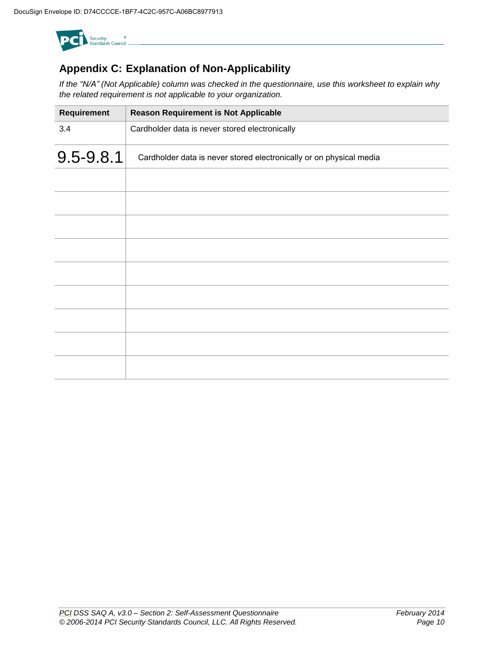

# **Appendix C: Explanation of Non-Applicability**

*If the "N/A" (Not Applicable) column was checked in the questionnaire, use this worksheet to explain why the related requirement is not applicable to your organization.*

| Requirement | <b>Reason Requirement is Not Applicable</b>                         |
|-------------|---------------------------------------------------------------------|
| 3.4         | Cardholder data is never stored electronically                      |
| 9.5-9.8.1   | Cardholder data is never stored electronically or on physical media |
|             |                                                                     |
|             |                                                                     |
|             |                                                                     |
|             |                                                                     |
|             |                                                                     |
|             |                                                                     |
|             |                                                                     |
|             |                                                                     |
|             |                                                                     |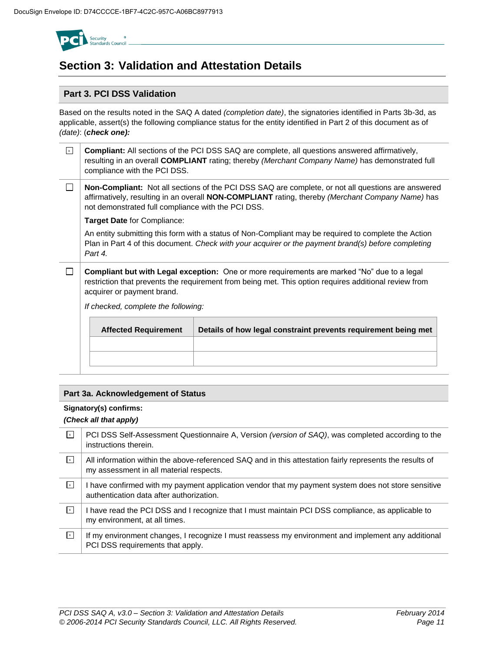

# **Section 3: Validation and Attestation Details**

#### **Part 3. PCI DSS Validation**

Based on the results noted in the SAQ A dated *(completion date)*, the signatories identified in Parts 3b-3d, as applicable, assert(s) the following compliance status for the entity identified in Part 2 of this document as of *(date)*: (*check one):*

| $\mathbf{x}$                                                                                  | compliance with the PCI DSS.                                                                                                                                                                                                                                        | <b>Compliant:</b> All sections of the PCI DSS SAQ are complete, all questions answered affirmatively,<br>resulting in an overall COMPLIANT rating; thereby (Merchant Company Name) has demonstrated full    |  |  |  |  |  |
|-----------------------------------------------------------------------------------------------|---------------------------------------------------------------------------------------------------------------------------------------------------------------------------------------------------------------------------------------------------------------------|-------------------------------------------------------------------------------------------------------------------------------------------------------------------------------------------------------------|--|--|--|--|--|
|                                                                                               | Non-Compliant: Not all sections of the PCI DSS SAQ are complete, or not all questions are answered<br>affirmatively, resulting in an overall <b>NON-COMPLIANT</b> rating, thereby (Merchant Company Name) has<br>not demonstrated full compliance with the PCI DSS. |                                                                                                                                                                                                             |  |  |  |  |  |
|                                                                                               | <b>Target Date for Compliance:</b>                                                                                                                                                                                                                                  |                                                                                                                                                                                                             |  |  |  |  |  |
|                                                                                               | Part 4.                                                                                                                                                                                                                                                             | An entity submitting this form with a status of Non-Compliant may be required to complete the Action<br>Plan in Part 4 of this document. Check with your acquirer or the payment brand(s) before completing |  |  |  |  |  |
|                                                                                               | <b>Compliant but with Legal exception:</b> One or more requirements are marked "No" due to a legal<br>restriction that prevents the requirement from being met. This option requires additional review from<br>acquirer or payment brand.                           |                                                                                                                                                                                                             |  |  |  |  |  |
|                                                                                               | If checked, complete the following:                                                                                                                                                                                                                                 |                                                                                                                                                                                                             |  |  |  |  |  |
| Details of how legal constraint prevents requirement being met<br><b>Affected Requirement</b> |                                                                                                                                                                                                                                                                     |                                                                                                                                                                                                             |  |  |  |  |  |
|                                                                                               |                                                                                                                                                                                                                                                                     |                                                                                                                                                                                                             |  |  |  |  |  |

#### **Part 3a. Acknowledgement of Status**

#### **Signatory(s) confirms:**

#### *(Check all that apply)*

| $\vert x \vert$   | PCI DSS Self-Assessment Questionnaire A, Version (version of SAQ), was completed according to the<br>instructions therein.                          |
|-------------------|-----------------------------------------------------------------------------------------------------------------------------------------------------|
| $\,$ $\,$         | All information within the above-referenced SAQ and in this attestation fairly represents the results of<br>my assessment in all material respects. |
| $\vert x \vert$   | I have confirmed with my payment application vendor that my payment system does not store sensitive<br>authentication data after authorization.     |
| $\mathbf{x}$      | I have read the PCI DSS and I recognize that I must maintain PCI DSS compliance, as applicable to<br>my environment, at all times.                  |
| $\lceil x \rceil$ | If my environment changes, I recognize I must reassess my environment and implement any additional<br>PCI DSS requirements that apply.              |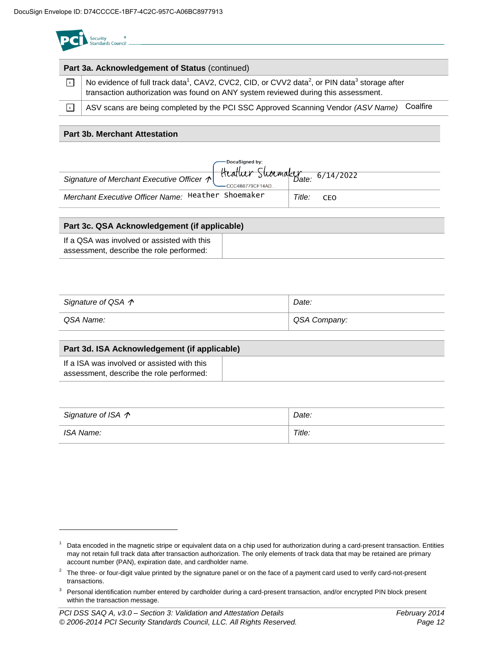|                 | Part 3a. Acknowledgement of Status (continued)                                                                                                                                                                          |
|-----------------|-------------------------------------------------------------------------------------------------------------------------------------------------------------------------------------------------------------------------|
| $\vert x \vert$ | No evidence of full track data <sup>1</sup> , CAV2, CVC2, CID, or CVV2 data <sup>2</sup> , or PIN data <sup>3</sup> storage after<br>transaction authorization was found on ANY system reviewed during this assessment. |
| l× l            | Coalfire<br>ASV scans are being completed by the PCI SSC Approved Scanning Vendor (ASV Name)                                                                                                                            |
|                 | <b>Part 3b. Merchant Attestation</b>                                                                                                                                                                                    |

|                                                    | $-CCC4B8779CF14AD$ |        |       |  |  |
|----------------------------------------------------|--------------------|--------|-------|--|--|
| Merchant Executive Officer Name: Heather Shoemaker |                    | Title: | - CEO |  |  |
|                                                    |                    |        |       |  |  |
| Part 3c. QSA Acknowledgement (if applicable)       |                    |        |       |  |  |
|                                                    |                    |        |       |  |  |

| If a QSA was involved or assisted with this |  |
|---------------------------------------------|--|
| assessment, describe the role performed:    |  |

| Signature of QSA $\gamma$ | Date:        |  |
|---------------------------|--------------|--|
| QSA Name:                 | QSA Company: |  |

| Part 3d. ISA Acknowledgement (if applicable)                                            |  |  |  |
|-----------------------------------------------------------------------------------------|--|--|--|
| If a ISA was involved or assisted with this<br>assessment, describe the role performed: |  |  |  |

| Signature of ISA $\gamma$ | Date:  |
|---------------------------|--------|
| ISA Name:                 | Title: |

 $1$  Data encoded in the magnetic stripe or equivalent data on a chip used for authorization during a card-present transaction. Entities may not retain full track data after transaction authorization. The only elements of track data that may be retained are primary account number (PAN), expiration date, and cardholder name.

 $2$  The three- or four-digit value printed by the signature panel or on the face of a payment card used to verify card-not-present transactions.

<sup>&</sup>lt;sup>3</sup> Personal identification number entered by cardholder during a card-present transaction, and/or encrypted PIN block present within the transaction message.